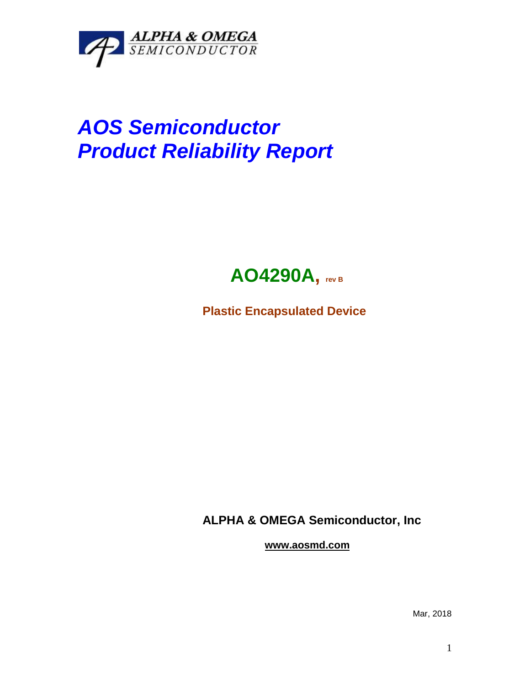

## *AOS Semiconductor Product Reliability Report*



**Plastic Encapsulated Device**

**ALPHA & OMEGA Semiconductor, Inc**

**www.aosmd.com**

Mar, 2018